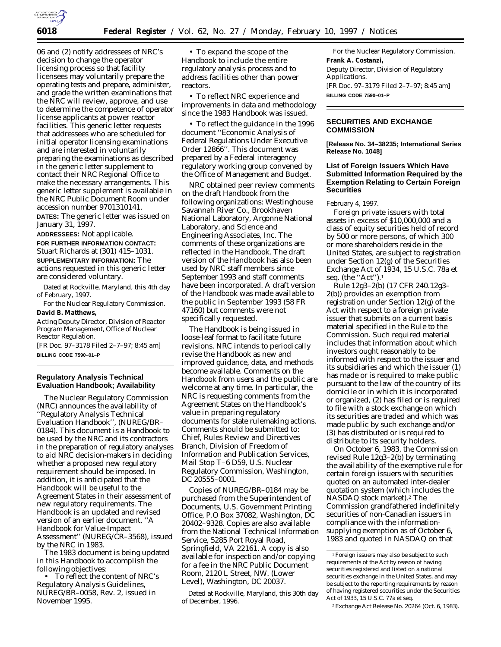

06 and (2) notify addressees of NRC's decision to change the operator licensing process so that facility licensees may voluntarily prepare the operating tests and prepare, administer, and grade the written examinations that the NRC will review, approve, and use to determine the competence of operator license applicants at power reactor facilities. This generic letter requests that addressees who are scheduled for initial operator licensing examinations and are interested in voluntarily preparing the examinations as described in the generic letter supplement to contact their NRC Regional Office to make the necessary arrangements. This generic letter supplement is available in the NRC Public Document Room under accession number 9701310141.

**DATES:** The generic letter was issued on January 31, 1997.

**ADDRESSEES:** Not applicable. **FOR FURTHER INFORMATION CONTACT:** Stuart Richards at (301) 415–1031. **SUPPLEMENTARY INFORMATION:** The actions requested in this generic letter are considered voluntary.

Dated at Rockville, Maryland, this 4th day of February, 1997.

For the Nuclear Regulatory Commission. **David B. Matthews,**

*Acting Deputy Director, Division of Reactor Program Management, Office of Nuclear Reactor Regulation.*

[FR Doc. 97–3178 Filed 2–7–97; 8:45 am] **BILLING CODE 7590–01–P**

#### **Regulatory Analysis Technical Evaluation Handbook; Availability**

The Nuclear Regulatory Commission (NRC) announces the availability of ''Regulatory Analysis Technical Evaluation Handbook'', (NUREG/BR– 0184). This document is a Handbook to be used by the NRC and its contractors in the preparation of regulatory analyses to aid NRC decision-makers in deciding whether a proposed new regulatory requirement should be imposed. In addition, it is anticipated that the Handbook will be useful to the Agreement States in their assessment of new regulatory requirements. The Handbook is an updated and revised version of an earlier document, ''A Handbook for Value-Impact Assessment'' (NUREG/CR–3568), issued by the NRC in 1983.

The 1983 document is being updated in this Handbook to accomplish the following objectives:

• To reflect the content of NRC's Regulatory Analysis Guidelines, NUREG/BR–0058, Rev. 2, issued in November 1995.

• To expand the scope of the Handbook to include the entire regulatory analysis process and to address facilities other than power reactors.

• To reflect NRC experience and improvements in data and methodology since the 1983 Handbook was issued.

• To reflect the guidance in the 1996 document ''Economic Analysis of Federal Regulations Under Executive Order 12866''. This document was prepared by a Federal interagency regulatory working group convened by the Office of Management and Budget.

NRC obtained peer review comments on the draft Handbook from the following organizations: Westinghouse Savannah River Co., Brookhaven National Laboratory, Argonne National Laboratory, and Science and Engineering Associates, Inc. The comments of these organizations are reflected in the Handbook. The draft version of the Handbook has also been used by NRC staff members since September 1993 and staff comments have been incorporated. A draft version of the Handbook was made available to the public in September 1993 (58 FR 47160) but comments were not specifically requested.

The Handbook is being issued in loose-leaf format to facilitate future revisions. NRC intends to periodically revise the Handbook as new and improved guidance, data, and methods become available. Comments on the Handbook from users and the public are welcome at any time. In particular, the NRC is requesting comments from the Agreement States on the Handbook's value in preparing regulatory documents for state rulemaking actions. Comments should be submitted to: Chief, Rules Review and Directives Branch, Division of Freedom of Information and Publication Services, Mail Stop T–6 D59, U.S. Nuclear Regulatory Commission, Washington, DC 20555–0001.

Copies of NUREG/BR–0184 may be purchased from the Superintendent of Documents, U.S. Government Printing Office, P.O Box 37082, Washington, DC 20402–9328. Copies are also available from the National Technical Information Service, 5285 Port Royal Road, Springfield, VA 22161. A copy is also available for inspection and/or copying for a fee in the NRC Public Document Room, 2120 L Street, NW. (Lower Level), Washington, DC 20037.

Dated at Rockville, Maryland, this 30th day of December, 1996.

For the Nuclear Regulatory Commission. **Frank A. Costanzi,** *Deputy Director, Division of Regulatory Applications.* [FR Doc. 97–3179 Filed 2–7–97; 8:45 am] **BILLING CODE 7590–01–P**

# **SECURITIES AND EXCHANGE COMMISSION**

**[Release No. 34–38235; International Series Release No. 1048]**

# **List of Foreign Issuers Which Have Submitted Information Required by the Exemption Relating to Certain Foreign Securities**

February 4, 1997.

Foreign private issuers with total assets in excess of \$10,000,000 and a class of equity securities held of record by 500 or more persons, of which 300 or more shareholders reside in the United States, are subject to registration under Section 12(g) of the Securities Exchange Act of 1934, 15 U.S.C. 78a *et seq.* (the ''Act'').1

Rule 12g3–2(b) (17 CFR 240.12g3– 2(b)) provides an exemption from registration under Section 12(g) of the Act with respect to a foreign private issuer that submits on a current basis material specified in the Rule to the Commission. Such required material includes that information about which investors ought reasonably to be informed with respect to the issuer and its subsidiaries and which the issuer (1) has made or is required to make public pursuant to the law of the country of its domicile or in which it is incorporated or organized, (2) has filed or is required to file with a stock exchange on which its securities are traded and which was made public by such exchange and/or (3) has distributed or is required to distribute to its security holders.

On October 6, 1983, the Commission revised Rule 12g3–2(b) by terminating the availability of the exemptive rule for certain foreign issuers with securities quoted on an automated inter-dealer quotation system (which includes the NASDAQ stock market).2 The Commission grandfathered indefinitely securities of non-Canadian issuers in compliance with the informationsupplying exemption as of October 6, 1983 and quoted in NASDAQ on that

<sup>1</sup>Foreign issuers may also be subject to such requirements of the Act by reason of having securities registered and listed on a national securities exchange in the United States, and may be subject to the reporting requirements by reason of having registered securities under the Securities Act of 1933, 15 U.S.C. 77a *et seq.*

<sup>2</sup>Exchange Act Release No. 20264 (Oct. 6, 1983).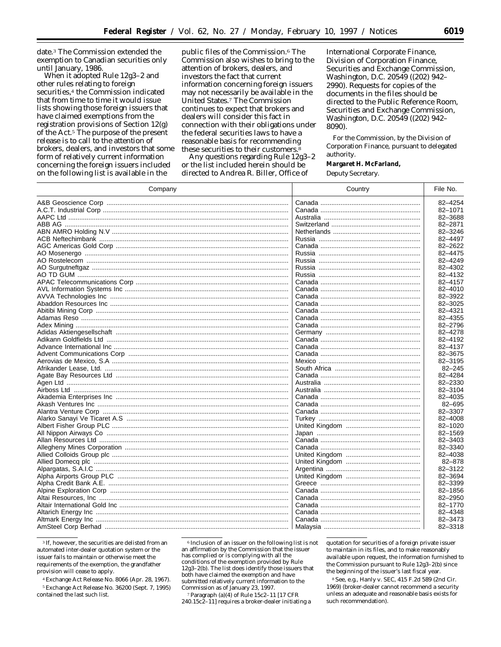date.3 The Commission extended the exemption to Canadian securities only until January, 1986.

When it adopted Rule 12g3–2 and other rules relating to foreign securities,<sup>4</sup> the Commission indicated that from time to time it would issue lists showing those foreign issuers that have claimed exemptions from the registration provisions of Section 12(g) of the Act.5 The purpose of the present release is to call to the attention of brokers, dealers, and investors that some form of relatively current information concerning the foreign issuers included on the following list is available in the

public files of the Commission.6 The Commission also wishes to bring to the attention of brokers, dealers, and investors the fact that current information concerning foreign issuers may not necessarily be available in the United States.7 The Commission continues to expect that brokers and dealers will consider this fact in connection with their obligations under the federal securities laws to have a reasonable basis for recommending these securities to their customers.<sup>8</sup>

Any questions regarding Rule 12g3–2 or the list included herein should be directed to Andrea R. Biller, Office of

International Corporate Finance, Division of Corporation Finance, Securities and Exchange Commission, Washington, D.C. 20549 ((202) 942– 2990). Requests for copies of the documents in the files should be directed to the Public Reference Room, Securities and Exchange Commission, Washington, D.C. 20549 ((202) 942– 8090).

For the Commission, by the Division of Corporation Finance, pursuant to delegated authority.

**Margaret H. McFarland,**

*Deputy Secretary.*

| Company                                                | Country | File No.   |
|--------------------------------------------------------|---------|------------|
|                                                        |         | 82-4254    |
|                                                        |         | 82-1071    |
|                                                        |         | 82-3688    |
|                                                        |         | 82-2871    |
|                                                        |         | 82-3246    |
|                                                        |         | 82-4497    |
|                                                        |         | 82-2622    |
|                                                        |         | 82-4475    |
|                                                        |         | 82-4249    |
|                                                        |         | 82-4302    |
|                                                        |         | 82-4132    |
|                                                        |         | 82-4157    |
|                                                        |         |            |
|                                                        |         | 82-4010    |
| AVVA Technologies Inc …………………………………………………………………………………… |         | 82-3922    |
|                                                        |         | 82-3025    |
|                                                        |         | 82-4321    |
|                                                        |         | 82-4355    |
|                                                        |         | 82-2796    |
|                                                        |         | 82-4278    |
|                                                        |         | 82-4192    |
|                                                        |         | 82-4137    |
|                                                        |         | 82-3675    |
|                                                        |         | 82-3195    |
|                                                        |         | $82 - 245$ |
|                                                        |         | 82-4284    |
|                                                        |         | 82-2330    |
|                                                        |         | 82-3104    |
|                                                        |         | 82-4035    |
|                                                        |         | 82-695     |
|                                                        |         | 82-3307    |
|                                                        |         | 82-4008    |
|                                                        |         | 82-1020    |
|                                                        |         | 82-1569    |
|                                                        |         | 82-3403    |
|                                                        |         | 82-3340    |
|                                                        |         |            |
|                                                        |         | 82-4038    |
|                                                        |         | 82-878     |
|                                                        |         | 82-3122    |
|                                                        |         | 82-3694    |
|                                                        |         | 82-3399    |
|                                                        |         | 82-1856    |
|                                                        |         | 82-2950    |
|                                                        |         | 82-1770    |
|                                                        |         | 82-4348    |
|                                                        |         | 82-3473    |
|                                                        |         | 82-3318    |

3 If, however, the securities are delisted from an automated inter-dealer quotation system or the issuer fails to maintain or otherwise meet the requirements of the exemption, the grandfather provision will cease to apply.

4Exchange Act Release No. 8066 (Apr. 28, 1967). 5Exchange Act Release No. 36200 (Sept. 7, 1995) contained the last such list.

6 Inclusion of an issuer on the following list is not an affirmation by the Commission that the issuer has complied or is complying with all the conditions of the exemption provided by Rule 12g3–2(b). The list does identify those issuers that both have claimed the exemption and have submitted relatively current information to the Commission as of January 23, 1997.

7Paragraph (a)(4) of Rule 15c2–11 [17 CFR 240.15c2–11] requires a broker-dealer initiating a quotation for securities of a foreign private issuer to maintain in its files, and to make reasonably available upon request, the information furnished to the Commission pursuant to Rule 12g3–2(b) since the beginning of the issuer's last fiscal year.

8See, *e.g., Hanly* v. *SEC,* 415 F.2d 589 (2nd Cir. 1969) (broker-dealer cannot recommend a security unless an adequate and reasonable basis exists for such recommendation).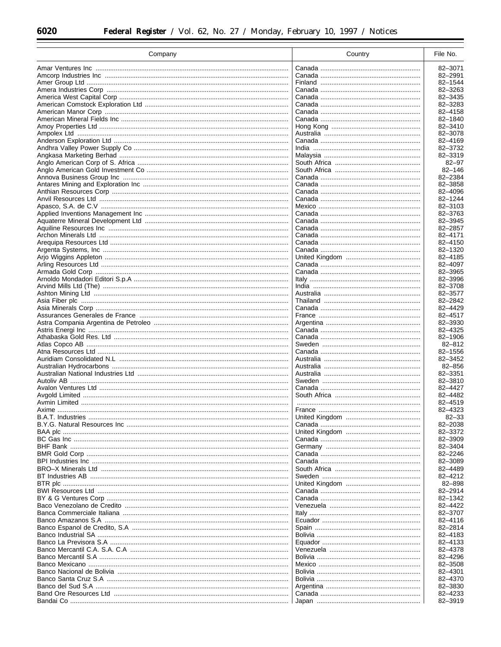| Company                                               | Country | File No.           |
|-------------------------------------------------------|---------|--------------------|
|                                                       |         | 82-3071            |
|                                                       |         | 82-2991            |
|                                                       |         | 82-1544            |
|                                                       |         | 82-3263            |
|                                                       |         | 82-3435            |
|                                                       |         | 82-3283            |
|                                                       |         | 82-4158            |
|                                                       |         | 82-1840            |
|                                                       |         | 82-3410            |
|                                                       |         | 82-3078<br>82-4169 |
|                                                       |         | 82-3732            |
|                                                       |         | 82-3319            |
|                                                       |         | $82 - 97$          |
|                                                       |         | $82 - 146$         |
|                                                       |         | 82-2384            |
|                                                       |         | 82-3858            |
|                                                       |         | 82-4096            |
|                                                       |         | 82-1244            |
|                                                       |         | 82-3103<br>82-3763 |
|                                                       |         | 82-3945            |
|                                                       |         | 82-2857            |
| Archon Minerals Ltd ……………………………………………………………………………………… |         | 82-4171            |
|                                                       |         | 82-4150            |
|                                                       |         | 82-1320            |
|                                                       |         | 82-4185            |
|                                                       |         | 82-4097            |
|                                                       |         | 82-3965            |
|                                                       |         | 82-3996            |
|                                                       |         | 82-3708<br>82-3577 |
|                                                       |         | 82-2842            |
|                                                       |         | 82-4429            |
|                                                       |         | 82-4517            |
|                                                       |         | 82-3930            |
|                                                       |         | 82-4325            |
|                                                       |         | 82-1906            |
|                                                       |         | $82 - 812$         |
|                                                       |         | 82-1556            |
|                                                       |         | 82-3452<br>82-856  |
|                                                       |         | 82-3351            |
|                                                       |         | 82-3810            |
|                                                       |         | 82-4427            |
|                                                       |         | 82-4482            |
|                                                       |         | 82-4519            |
|                                                       |         | 82-4323            |
|                                                       |         | $82 - 33$          |
|                                                       |         | 82-2038            |
|                                                       |         | 82-3372<br>82-3909 |
|                                                       |         | 82-3404            |
|                                                       |         | 82-2246            |
|                                                       |         | 82-3089            |
|                                                       |         | 82-4489            |
|                                                       |         | 82-4212            |
|                                                       |         | 82-898             |
|                                                       |         | 82-2914            |
|                                                       |         | 82-1342<br>82-4422 |
|                                                       |         | 82-3707            |
|                                                       |         | 82-4116            |
|                                                       |         | 82-2814            |
|                                                       |         | 82-4183            |
|                                                       |         | 82-4133            |
|                                                       |         | 82-4378            |
|                                                       |         | 82-4296            |
|                                                       |         | 82-3508            |
|                                                       |         | 82-4301            |
|                                                       |         | 82-4370<br>82-3830 |
|                                                       |         | 82-4233            |
|                                                       |         | 82-3919            |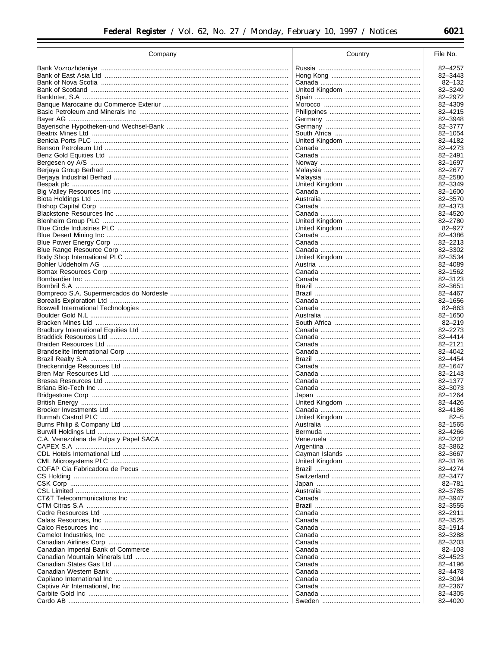| Company                                              | Country | File No.              |
|------------------------------------------------------|---------|-----------------------|
|                                                      |         | 82-4257               |
|                                                      |         | 82-3443               |
|                                                      |         | 82-132                |
|                                                      |         | 82-3240               |
|                                                      |         | 82-2972               |
|                                                      |         | 82-4309               |
|                                                      |         | 82-4215               |
|                                                      |         | 82-3948               |
|                                                      |         | 82-3777<br>82-1054    |
|                                                      |         | 82-4182               |
|                                                      |         | 82-4273               |
|                                                      |         | 82-2491               |
| Bergesen oy A/S …………………………………………………………………………………………   |         | 82-1697               |
|                                                      |         | 82-2677               |
|                                                      |         | 82-2580               |
|                                                      |         | 82-3349               |
|                                                      |         | 82-1600               |
|                                                      |         | 82-3570               |
|                                                      |         | 82-4373               |
|                                                      |         | 82-4520               |
|                                                      |         | 82-2780<br>82-927     |
|                                                      |         | 82-4386               |
|                                                      |         | 82-2213               |
|                                                      |         | 82-3302               |
|                                                      |         | 82-3534               |
|                                                      |         | 82-4089               |
|                                                      |         | 82-1562               |
|                                                      |         | 82-3123               |
|                                                      |         | 82-3651               |
|                                                      |         | 82-4467               |
|                                                      |         | 82-1656               |
|                                                      |         | 82-863                |
|                                                      |         | 82-1650<br>$82 - 219$ |
|                                                      |         | 82-2273               |
|                                                      |         | 82-4414               |
|                                                      |         | 82-2121               |
|                                                      |         | 82-4042               |
| Brazil Realty S.A ………………………………………………………………………………………… |         | 82-4454               |
|                                                      |         | 82-1647               |
|                                                      |         | 82-2143               |
|                                                      |         | 82-1377               |
|                                                      |         | 82-3073               |
|                                                      |         | 82-1264<br>82-4426    |
|                                                      |         | 82-4186               |
|                                                      |         | $82 - 5$              |
|                                                      |         | 82-1565               |
|                                                      |         | 82-4266               |
|                                                      |         | 82-3202               |
|                                                      |         | 82-3862               |
|                                                      |         | 82-3667               |
|                                                      |         | 82-3176               |
|                                                      |         | 82-4274               |
|                                                      |         | 82-3477               |
|                                                      |         | $82 - 781$            |
|                                                      |         | 82-3785               |
|                                                      |         | 82-3947<br>82-3555    |
|                                                      |         | 82-2911               |
|                                                      |         | 82-3525               |
|                                                      |         | 82-1914               |
|                                                      |         | 82-3288               |
|                                                      |         | 82-3203               |
|                                                      |         | $82 - 103$            |
|                                                      |         | 82-4523               |
|                                                      |         | 82-4196               |
|                                                      |         | 82-4478               |
|                                                      |         | 82-3094               |
|                                                      |         | 82-2367               |
|                                                      |         | 82-4305<br>82-4020    |
|                                                      |         |                       |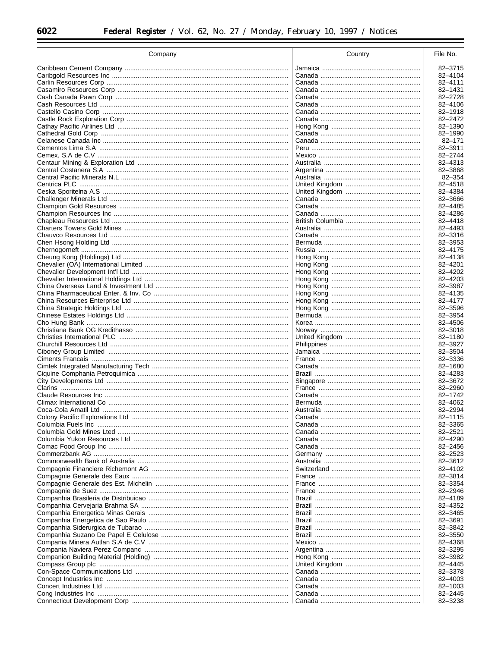| Company | Country | File No.              |
|---------|---------|-----------------------|
|         |         | 82-3715               |
|         |         | 82-4104               |
|         |         | 82-4111               |
|         |         | 82-1431               |
|         |         | 82-2728               |
|         |         | 82-4106               |
|         |         | 82-1918               |
|         |         | 82-2472               |
|         |         | 82-1390               |
|         |         | 82-1990<br>$82 - 171$ |
|         |         | 82-3911               |
|         |         | 82-2744               |
|         |         | 82-4313               |
|         |         | 82-3868               |
|         |         | $82 - 354$            |
|         |         | 82-4518               |
|         |         | 82-4384               |
|         |         | 82-3666               |
|         |         | 82-4485               |
|         |         | 82-4286               |
|         |         | 82-4418               |
|         |         | 82-4493<br>82-3316    |
|         |         | 82-3953               |
|         |         | 82-4175               |
|         |         | 82-4138               |
|         |         | 82-4201               |
|         |         | 82-4202               |
|         |         | 82-4203               |
|         |         | 82-3987               |
|         |         | 82-4135               |
|         |         | 82-4177               |
|         |         | 82-3596               |
|         |         | 82-3954               |
|         |         | 82-4506               |
|         |         | 82-3018<br>82-1180    |
|         |         | 82-3927               |
|         |         | 82-3504               |
|         |         | 82-3336               |
|         |         | 82-1680               |
|         |         | 82-4283               |
|         |         | 82-3672               |
|         |         | 82-2960               |
|         |         | 82-1742               |
|         |         | 82-4062               |
|         |         | 82-2994               |
|         |         | 82-1115<br>82-3365    |
|         |         | 82-2521               |
|         |         | 82-4290               |
|         |         | 82-2456               |
|         |         | 82-2523               |
|         |         | 82-3612               |
|         |         | 82-4102               |
|         |         | 82-3814               |
|         |         | 82-3354               |
|         |         | 82-2946               |
|         |         | 82-4189               |
|         |         | 82-4352               |
|         |         | 82-3465               |
|         |         | 82-3691               |
|         |         | 82-3842<br>82-3550    |
|         |         | 82-4368               |
|         |         | 82-3295               |
|         |         | 82-3982               |
|         |         | 82-4445               |
|         |         | 82-3378               |
|         |         | 82-4003               |
|         |         | 82-1003               |
|         |         | 82-2445               |
|         |         | 82-3238               |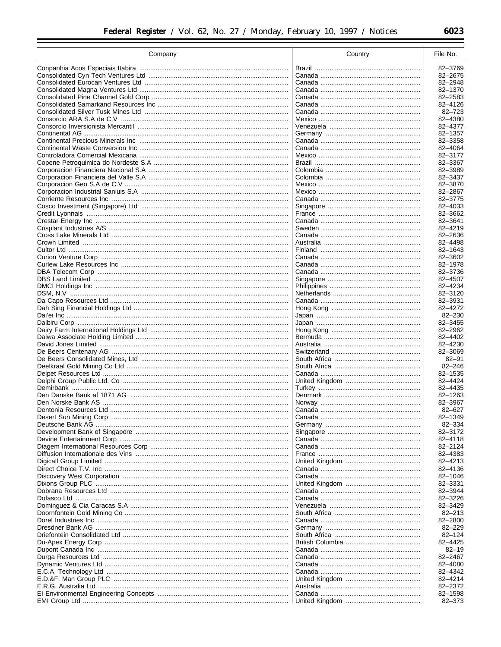| Company | Country | File No.             |
|---------|---------|----------------------|
|         |         | 82-3769              |
|         |         | 82-2675              |
|         |         | 82-2948              |
|         |         | 82-1370              |
|         |         | 82-2583              |
|         |         | 82-4126<br>82-723    |
|         |         | 82-4380              |
|         |         | 82-4377              |
|         |         | 82-1357              |
|         |         | 82-3358              |
|         |         | 82-4064              |
|         |         | 82-3177              |
|         |         | 82-3367<br>82-3989   |
|         |         | 82-3437              |
|         |         | 82-3870              |
|         |         | 82-2867              |
|         |         | 82-3775              |
|         |         | 82-4033              |
|         |         | 82-3662              |
|         |         | 82-3641<br>82-4219   |
|         |         | 82-2636              |
|         |         | 82-4498              |
|         |         | 82-1643              |
|         |         | 82-3602              |
|         |         | 82-1978              |
|         |         | 82-3736              |
|         |         | 82-4507              |
|         |         | 82-4234              |
|         |         | 82-3120<br>82-3931   |
|         |         | 82-4272              |
|         |         | $82 - 230$           |
|         |         | 82-3455              |
|         |         | 82-2962              |
|         |         | 82-4402              |
|         |         | 82-4230              |
|         |         | 82-3069<br>$82 - 91$ |
|         |         | $82 - 246$           |
|         |         | 82-1535              |
|         |         | 82-4424              |
|         |         | 82-4435              |
|         |         | 82-1263              |
|         |         | 82-3967              |
|         |         | $82 - 627$           |
|         |         | 82-1349              |
|         |         | 82-334<br>82-3172    |
|         |         | 82-4118              |
|         |         | 82-2124              |
|         |         | 82-4383              |
|         |         | 82-4213              |
|         |         | 82-4136              |
|         |         | 82-1046              |
|         |         | 82-3331              |
|         |         | 82-3944              |
|         |         | 82-3226<br>82-3429   |
|         |         | $82 - 213$           |
|         |         | 82-2800              |
|         |         | $82 - 229$           |
|         |         | $82 - 124$           |
|         |         | 82-4425              |
|         |         | $82 - 19$            |
|         |         | 82-2467              |
|         |         | 82-4080              |
|         |         | 82-4342<br>82-4214   |
|         |         | 82-2372              |
|         |         | 82-1598              |
|         |         | 82-373               |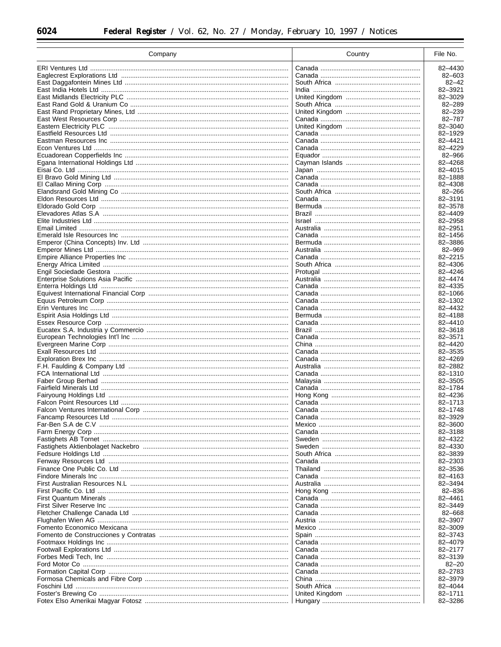| Company | Country | File No.                 |
|---------|---------|--------------------------|
|         |         | 82-4430                  |
|         |         | $82 - 603$               |
|         |         | $82 - 42$                |
|         |         | 82-3921                  |
|         |         | 82-3029                  |
|         |         | $82 - 289$<br>$82 - 239$ |
|         |         | 82-787                   |
|         |         | 82-3040                  |
|         |         | 82-1929                  |
|         |         | 82-4421                  |
|         |         | 82-4229                  |
|         |         | 82-966                   |
|         |         | 82-4268<br>82-4015       |
|         |         | 82-1888                  |
|         |         | 82-4308                  |
|         |         | $82 - 266$               |
|         |         | 82-3191                  |
|         |         | 82-3578                  |
|         |         | 82-4409                  |
|         |         | 82-2958                  |
|         |         | 82-2951<br>82-1456       |
|         |         | 82-3886                  |
|         |         | 82-969                   |
|         |         | 82-2215                  |
|         |         | 82-4306                  |
|         |         | 82-4246                  |
|         |         | 82-4474                  |
|         |         | 82-4335<br>82-1066       |
|         |         | 82-1302                  |
|         |         | 82-4432                  |
|         |         | 82-4188                  |
|         |         | 82-4410                  |
|         |         | 82-3618                  |
|         |         | 82-3571<br>82-4420       |
|         |         | 82-3535                  |
|         |         | 82-4269                  |
|         |         | 82-2882                  |
|         |         | 82-1310                  |
|         |         | 82-3505                  |
|         |         | 82-1784<br>82-4236       |
|         |         | 82-1713                  |
|         |         | 82-1748                  |
|         |         | 82-3929                  |
|         |         | 82-3600                  |
|         |         | 82-3188                  |
|         |         | 82-4322<br>82-4330       |
|         |         | 82-3839                  |
|         |         | 82-2303                  |
|         |         | 82-3536                  |
|         |         | 82-4163                  |
|         |         | 82-3494                  |
|         |         | 82-836                   |
|         |         | 82-4461<br>82-3449       |
|         |         | 82-668                   |
|         |         | 82-3907                  |
|         |         | 82-3009                  |
|         |         | 82-3743                  |
|         |         | 82-4079                  |
|         |         | 82-2177                  |
|         |         | 82-3139<br>$82 - 20$     |
|         |         | 82-2783                  |
|         |         | 82-3979                  |
|         |         | 82-4044                  |
|         |         | 82-1711                  |
|         |         | 82-3286                  |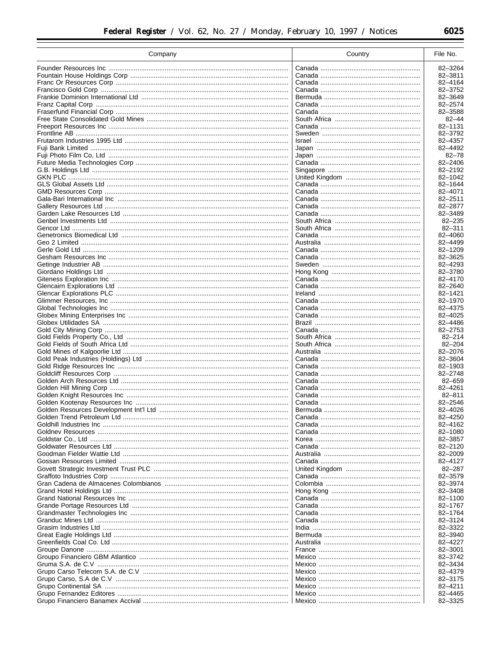| Company | Country | File No.           |
|---------|---------|--------------------|
|         |         | 82-3264            |
|         |         | 82-3811            |
|         |         | 82-4164            |
|         |         | 82-3752            |
|         |         | 82-3649            |
|         |         | 82-2574            |
|         |         | 82-3588            |
|         |         | $82 - 44$          |
|         |         | 82-1131            |
|         |         | 82-3792            |
|         |         | 82-4357<br>82-4492 |
|         |         | $82 - 78$          |
|         |         | 82-2406            |
|         |         | 82-2192            |
|         |         | 82-1042            |
|         |         | 82-1644            |
|         |         | 82-4071            |
|         |         | 82-2511            |
|         |         | 82-2877            |
|         |         | 82-3489            |
|         |         | $82 - 235$         |
|         |         | $82 - 311$         |
|         |         | 82-4060            |
|         |         | 82-4499            |
|         |         | 82-1209            |
|         |         | 82-3625            |
|         |         | 82-4293<br>82-3780 |
|         |         | 82-4170            |
|         |         | 82-2640            |
|         |         | 82-1421            |
|         |         | 82-1970            |
|         |         | 82-4375            |
|         |         | 82-4025            |
|         |         | 82-4486            |
|         |         | 82-2753            |
|         |         | $82 - 214$         |
|         |         | $82 - 204$         |
|         |         | 82-2076            |
|         |         | 82-3604            |
|         |         | 82-1903            |
|         |         | 82-2748<br>82-659  |
|         |         | 82-4261            |
|         |         | $82 - 811$         |
|         |         | 82-2546            |
|         |         | 82-4026            |
|         |         | 82-4250            |
|         |         | 82-4162            |
|         |         | 82-1080            |
|         |         | 82-3857            |
|         |         | 82-2120            |
|         |         | 82-2009            |
|         |         | 82-4127            |
|         |         | $82 - 287$         |
|         |         | 82-3579            |
|         |         | 82-3974            |
|         |         | 82-3408            |
|         |         | 82-1100            |
|         |         | 82-1767            |
|         |         | 82-1764            |
|         |         | 82-3124            |
|         |         | 82-3322            |
|         |         | 82-3940            |
|         |         | 82-4227<br>82-3001 |
|         |         | 82-3742            |
|         |         | 82-3434            |
|         |         | 82-4379            |
|         |         | 82-3175            |
|         |         | 82-4211            |
|         |         | 82-4465            |
|         |         | 82-3325            |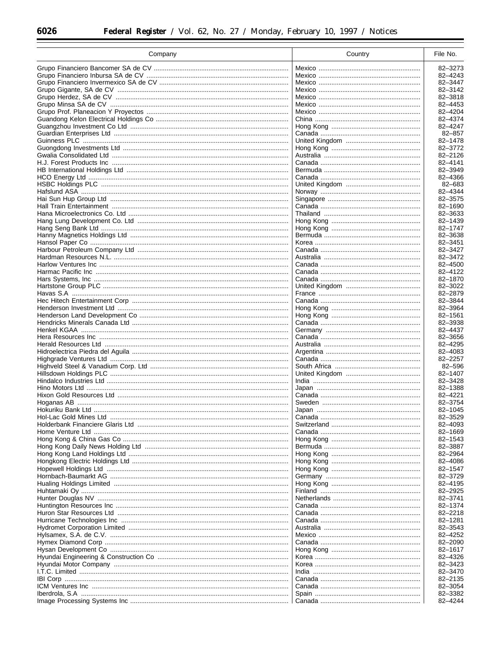| Company                                                 | Country | File No.           |
|---------------------------------------------------------|---------|--------------------|
|                                                         |         | 82-3273            |
|                                                         |         | 82-4243            |
|                                                         |         | 82-3447            |
|                                                         |         | 82-3142            |
|                                                         |         | 82-3818<br>82-4453 |
|                                                         |         | 82-4204            |
|                                                         |         | 82-4374            |
|                                                         |         | 82-4247            |
|                                                         |         | $82 - 857$         |
|                                                         |         | 82-1478            |
|                                                         |         | 82-3772            |
|                                                         |         | 82-2126            |
|                                                         |         | 82-4141<br>82-3949 |
|                                                         |         | 82-4366            |
|                                                         |         | 82-683             |
|                                                         |         | 82-4344            |
|                                                         |         | 82-3575            |
|                                                         |         | 82-1690            |
|                                                         |         | 82-3633            |
|                                                         |         | 82-1439            |
|                                                         |         | 82-1747<br>82-3638 |
|                                                         |         | 82-3451            |
|                                                         |         | 82-3427            |
|                                                         |         | 82-3472            |
|                                                         |         | 82-4500            |
|                                                         |         | 82-4122            |
|                                                         |         | 82-1870            |
|                                                         |         | 82-3022            |
|                                                         |         | 82-2879            |
|                                                         |         | 82-3844<br>82-3964 |
|                                                         |         | 82-1561            |
|                                                         |         | 82-3938            |
|                                                         |         | 82-4437            |
|                                                         |         | 82-3656            |
|                                                         |         | 82-4295            |
|                                                         |         | 82-4083            |
|                                                         |         | 82-2257<br>82-596  |
|                                                         |         | 82-1407            |
|                                                         |         | 82-3428            |
|                                                         |         | 82-1388            |
|                                                         |         | 82-4221            |
|                                                         |         | 82-3754            |
|                                                         |         | 82-1045            |
| Hol-Lac Gold Mines Ltd …………………………………………………………………………………… |         | 82-3529            |
|                                                         |         | 82-4093<br>82-1669 |
|                                                         |         | 82-1543            |
|                                                         |         | 82-3887            |
|                                                         |         | 82-2964            |
|                                                         |         | 82-4086            |
|                                                         |         | 82-1547            |
|                                                         |         | 82-3729            |
|                                                         |         | 82-4195            |
|                                                         |         | 82-2925<br>82-3741 |
|                                                         |         | 82-1374            |
|                                                         |         | 82-2218            |
|                                                         |         | 82-1281            |
|                                                         |         | 82-3543            |
|                                                         |         | 82-4252            |
|                                                         |         | 82-2090            |
|                                                         |         | 82-1617            |
|                                                         |         | 82-4326            |
|                                                         |         | 82-3423<br>82-3470 |
|                                                         |         | 82-2135            |
|                                                         |         | 82-3054            |
|                                                         |         | 82-3382            |
|                                                         |         | 82-4244            |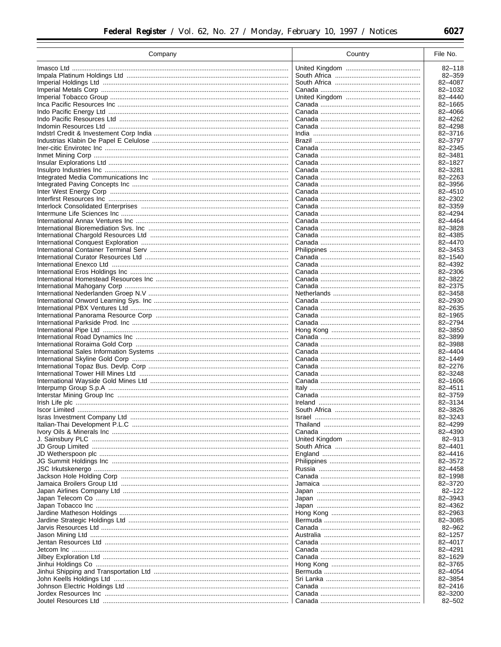| Company | Country | File No.           |
|---------|---------|--------------------|
|         |         | $82 - 118$         |
|         |         | 82-359             |
|         |         | 82-4087            |
|         |         | 82-1032            |
|         |         | 82-4440            |
|         |         | 82-1665            |
|         |         | 82-4066            |
|         |         | 82-4262            |
|         |         | 82-4298            |
|         |         | 82-3716            |
|         |         | 82-3797            |
|         |         | 82-2345            |
|         |         | 82-3481            |
|         |         | 82-1827            |
|         |         | 82-3281            |
|         |         | 82-2263            |
|         |         | 82-3956            |
|         |         | 82-4510            |
|         |         | 82-2302            |
|         |         | 82-3359<br>82-4294 |
|         |         | 82-4464            |
|         |         | 82-3828            |
|         |         | 82-4385            |
|         |         | 82-4470            |
|         |         | 82-3453            |
|         |         | 82-1540            |
|         |         | 82-4392            |
|         |         | 82-2306            |
|         |         | 82-3822            |
|         |         | 82-2375            |
|         |         | 82-3458            |
|         |         | 82-2930            |
|         |         | 82-2635            |
|         |         | 82-1965            |
|         |         | 82-2794<br>82-3850 |
|         |         | 82-3899            |
|         |         | 82-3988            |
|         |         | 82-4404            |
|         |         | 82-1449            |
|         |         | 82-2276            |
|         |         | 82-3248            |
|         |         | 82-1606            |
|         |         | 82-4511            |
|         |         | 82-3759            |
|         |         | 82-3134            |
|         |         | 82-3826            |
|         |         | 82–3243            |
|         |         | 82-4299            |
|         |         | 82-4390            |
|         |         | 82-913<br>82-4401  |
|         |         | 82-4416            |
|         |         | 82-3572            |
|         |         | 82-4458            |
|         |         | 82-1998            |
|         |         | 82-3720            |
|         |         | $82 - 122$         |
|         |         | 82-3943            |
|         |         | 82-4362            |
|         |         | 82-2963            |
|         |         | 82-3085            |
|         |         | 82-962             |
|         |         | 82-1257            |
|         |         | 82-4017            |
|         |         | 82-4291            |
|         |         | 82-1629            |
|         |         | 82-3765            |
|         |         | 82-4054            |
|         |         | 82-3854<br>82-2416 |
|         |         | 82-3200            |
|         |         | 82-502             |
|         |         |                    |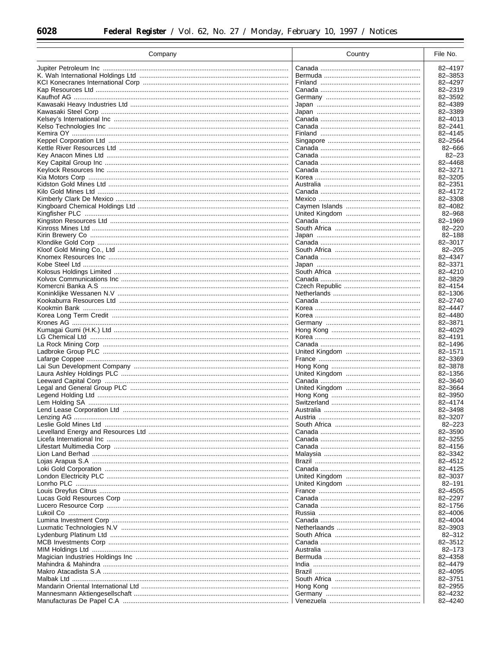| Company                                                | Country | File No.           |
|--------------------------------------------------------|---------|--------------------|
|                                                        |         | 82-4197            |
|                                                        |         | 82-3853            |
|                                                        |         | 82-4297            |
|                                                        |         | 82-2319            |
|                                                        |         | 82-3592            |
|                                                        |         | 82-4389            |
|                                                        |         | 82-3389            |
|                                                        |         | 82-4013            |
|                                                        |         | 82-2441            |
|                                                        |         | 82-4145            |
|                                                        |         | 82-2564            |
|                                                        |         | 82-666             |
|                                                        |         | $82 - 23$          |
|                                                        |         | 82-4468            |
|                                                        |         | 82-3271            |
|                                                        |         | 82-3205            |
|                                                        |         | 82-2351            |
|                                                        |         | 82-4172            |
|                                                        |         | 82-3308            |
|                                                        |         | 82-4082            |
|                                                        |         | 82-968             |
|                                                        |         | 82-1969            |
|                                                        |         | $82 - 220$         |
|                                                        |         | 82-188             |
|                                                        |         | 82-3017            |
|                                                        |         | $82 - 205$         |
|                                                        |         | 82-4347            |
|                                                        |         | 82-3371            |
|                                                        |         | 82-4210            |
|                                                        |         | 82-3829            |
|                                                        |         | 82-4154            |
|                                                        |         | 82-1306            |
|                                                        |         | 82-2740            |
|                                                        |         | 82-4447            |
|                                                        |         | 82-4480            |
|                                                        |         | 82-3871            |
|                                                        |         | 82-4029            |
|                                                        |         | 82-4191            |
|                                                        |         | 82-1496            |
|                                                        |         | 82-1571            |
|                                                        |         | 82-3369            |
|                                                        |         | 82-3878            |
|                                                        |         | 82-1356            |
|                                                        |         | 82-3640            |
|                                                        |         | 82-3664            |
|                                                        |         | 82-3950            |
|                                                        |         | 82-4174<br>82-3498 |
|                                                        |         |                    |
|                                                        |         | 82-3207            |
| Leslie Gold Mines Ltd …………………………………………………………………………………… |         | $82 - 223$         |
|                                                        |         | 82-3590            |
|                                                        |         | 82-3255            |
|                                                        |         | 82-4156            |
|                                                        |         | 82-3342<br>82-4512 |
|                                                        |         | 82-4125            |
|                                                        |         | 82-3037            |
|                                                        |         |                    |
|                                                        |         | $82 - 191$         |
|                                                        |         | 82-4505<br>82-2297 |
|                                                        |         | 82-1756            |
|                                                        |         | 82-4006            |
|                                                        |         |                    |
|                                                        |         | 82-4004<br>82-3903 |
|                                                        |         | 82-312             |
|                                                        |         | 82-3512            |
|                                                        |         | $82 - 173$         |
|                                                        |         | 82-4358            |
|                                                        |         | 82-4479            |
|                                                        |         | 82-4095            |
|                                                        |         | 82-3751            |
|                                                        |         | 82-2955            |
|                                                        |         | 82-4232            |
|                                                        |         | 82-4240            |
|                                                        |         |                    |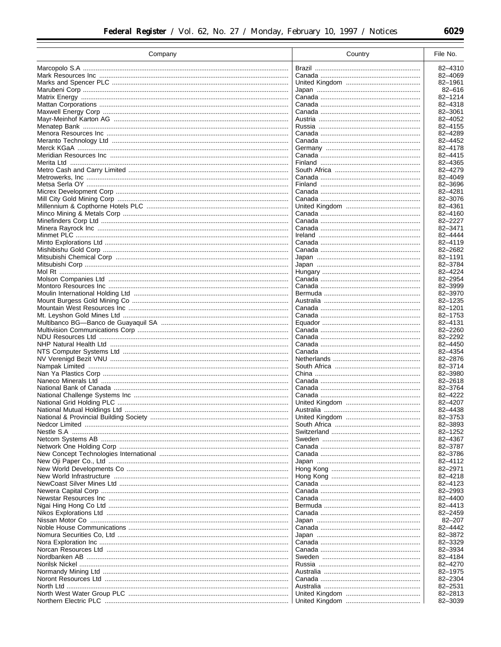| Company    | Country | File No.           |
|------------|---------|--------------------|
|            |         | 82-4310            |
|            |         | 82-4069            |
|            |         | 82-1961            |
|            |         | 82-616             |
|            |         | 82-1214            |
|            |         | 82-4318            |
|            |         | 82-3061            |
|            |         | 82-4052            |
|            |         | 82-4155            |
|            |         | 82-4289            |
|            |         | 82-4452            |
|            |         | 82-4178            |
|            |         | 82-4415            |
|            |         | 82-4365            |
|            |         | 82-4279            |
|            |         | 82-4049            |
|            |         | 82-3696            |
|            |         | 82-4281            |
|            |         | 82-3076            |
|            |         | 82-4361            |
|            |         | 82-4160            |
|            |         | 82-2227            |
|            |         | 82-3471            |
|            |         | 82-4444            |
|            |         | 82-4119            |
|            |         | 82-2682            |
|            |         | 82-1191            |
|            |         | 82-3784            |
|            |         | 82-4224<br>82-2954 |
|            |         | 82-3999            |
|            |         | 82-3970            |
|            |         | 82-1235            |
|            |         | 82-1201            |
|            |         | 82-1753            |
|            |         | 82-4131            |
|            |         | 82-2260            |
|            |         | 82-2292            |
|            |         | 82-4450            |
|            |         | 82-4354            |
|            |         | 82-2876            |
|            |         | 82-3714            |
|            |         | 82-3980            |
|            |         | 82-2618            |
|            |         | 82-3764            |
|            |         | 82-4222            |
|            |         | 82-4207            |
|            |         | 82-4438            |
|            |         | 82-3753            |
|            |         | 82-3893            |
| Nestle S.A |         | 82-1252            |
|            |         | 82-4367            |
|            |         | 82-3787            |
|            |         | 82-3786            |
|            |         | 82-4112            |
|            |         | 82-2971            |
|            |         | 82-4218<br>82-4123 |
|            |         |                    |
|            |         | 82-2993<br>82-4400 |
|            |         | 82-4413            |
|            |         | 82-2459            |
|            |         | $82 - 207$         |
|            |         | 82-4442            |
|            |         | 82-3872            |
|            |         | 82-3329            |
|            |         | 82-3934            |
|            |         | 82-4184            |
|            |         | 82-4270            |
|            |         | 82-1975            |
|            |         | 82-2304            |
|            |         | 82-2531            |
|            |         | 82-2813            |
|            |         | 82-3039            |
|            |         |                    |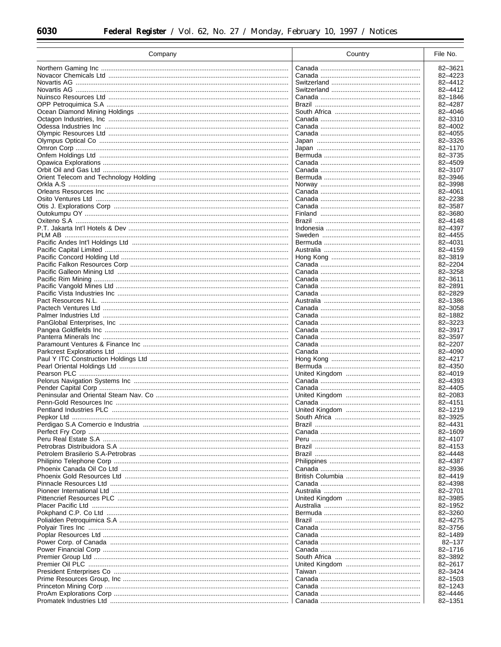| Company                                                  | Country | File No.           |
|----------------------------------------------------------|---------|--------------------|
|                                                          |         | 82-3621            |
|                                                          |         | 82-4223            |
|                                                          |         | 82-4412            |
|                                                          |         | 82-4412            |
|                                                          |         | 82-1846            |
|                                                          |         | 82-4287            |
|                                                          |         | 82-4046            |
|                                                          |         | 82-3310            |
|                                                          |         | 82-4002<br>82-4055 |
|                                                          |         | 82-3326            |
|                                                          |         | 82-1170            |
|                                                          |         | 82-3735            |
|                                                          |         | 82-4509            |
|                                                          |         | 82-3107            |
|                                                          |         | 82-3946            |
|                                                          |         | 82-3998            |
|                                                          |         | 82-4061            |
|                                                          |         | 82-2238            |
|                                                          |         | 82-3587            |
|                                                          |         | 82-3680            |
|                                                          |         | 82-4148<br>82-4397 |
|                                                          |         | 82-4455            |
|                                                          |         | 82-4031            |
|                                                          |         | 82-4159            |
|                                                          |         | 82-3819            |
|                                                          |         | 82-2204            |
|                                                          |         | 82-3258            |
|                                                          |         | 82-3611            |
|                                                          |         | 82-2891            |
|                                                          |         | 82-2829            |
|                                                          |         | 82-1386            |
|                                                          |         | 82-3058            |
| Palmer Industries Ltd ………………………………………………………………………………………… |         | 82-1882<br>82-3223 |
|                                                          |         | 82-3917            |
|                                                          |         | 82-3597            |
|                                                          |         | 82-2207            |
|                                                          |         | 82-4090            |
|                                                          |         | 82-4217            |
|                                                          |         | 82-4350            |
|                                                          |         | 82-4019            |
|                                                          |         | 82-4393            |
|                                                          |         | 82-4405            |
|                                                          |         | 82-2083<br>82-4151 |
|                                                          |         | 82-1219            |
|                                                          |         | 82-3925            |
|                                                          |         | 82-4431            |
|                                                          |         | 82-1609            |
|                                                          |         | 82-4107            |
|                                                          |         | 82-4153            |
|                                                          |         | 82-4448            |
|                                                          |         | 82-4387            |
|                                                          |         | 82-3936            |
|                                                          |         | 82-4419            |
|                                                          |         | 82-4398            |
|                                                          |         | 82-2701<br>82-3985 |
|                                                          |         | 82-1952            |
|                                                          |         | 82-3260            |
|                                                          |         | 82-4275            |
|                                                          |         | 82-3756            |
|                                                          |         | 82-1489            |
|                                                          |         | $82 - 137$         |
|                                                          |         | 82-1716            |
|                                                          |         | 82-3892            |
|                                                          |         | 82-2617            |
|                                                          |         | 82-3424            |
|                                                          |         | 82-1503            |
|                                                          |         | 82-1243            |
|                                                          |         | 82-4446<br>82-1351 |
|                                                          |         |                    |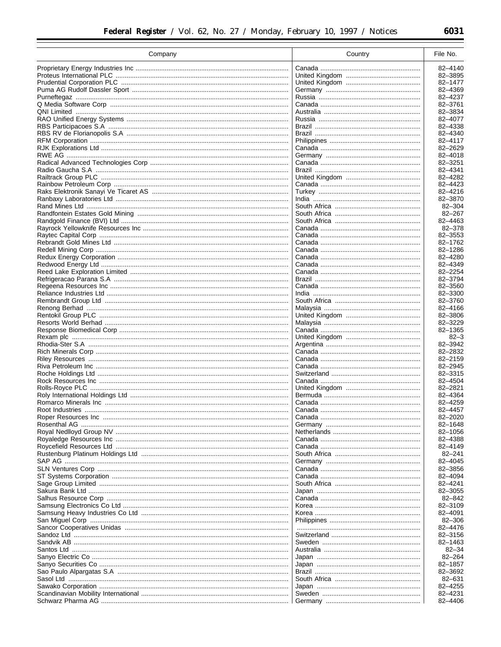| Company | Country | File No.            |
|---------|---------|---------------------|
|         |         | 82-4140             |
|         |         | 82-3895             |
|         |         | 82-1477             |
|         |         | 82-4369             |
|         |         | 82-4237             |
|         |         | 82-3761             |
|         |         | 82-3834             |
|         |         | 82-4077             |
|         |         | 82-4338             |
|         |         | 82-4340             |
|         |         | 82-4117             |
|         |         | 82-2629<br>82-4018  |
|         |         | 82-3251             |
|         |         | 82-4341             |
|         |         | 82-4282             |
|         |         | 82-4423             |
|         |         | 82-4216             |
|         |         | 82-3870             |
|         |         | $82 - 304$          |
|         |         | $82 - 267$          |
|         |         | 82-4463             |
|         |         | 82-378              |
|         |         | 82-3553             |
|         |         | 82-1762             |
|         |         | 82-1286<br>82-4280  |
|         |         | 82-4349             |
|         |         | 82-2254             |
|         |         | 82-3794             |
|         |         | 82-3560             |
|         |         | 82-3300             |
|         |         | 82-3760             |
|         |         | 82-4166             |
|         |         | 82-3806             |
|         |         | 82-3229             |
|         |         | 82-1365             |
|         |         | $82 - 3$<br>82-3942 |
|         |         | 82-2832             |
|         |         | 82-2159             |
|         |         | 82-2945             |
|         |         | 82-3315             |
|         |         | 82-4504             |
|         |         | 82-2821             |
|         |         | 82-4364             |
|         |         | 82-4259             |
|         |         | 82-4457             |
|         |         | 82-2020             |
|         |         | 82-1648<br>82-1056  |
|         |         | 82-4388             |
|         |         | 82-4149             |
|         |         | $82 - 241$          |
|         |         | 82-4045             |
|         |         | 82-3856             |
|         |         | 82-4094             |
|         |         | 82-4241             |
|         |         | 82-3055             |
|         |         | 82-842              |
|         |         | 82-3109             |
|         |         | 82-4091             |
|         |         | 82-306<br>82-4476   |
|         |         | 82-3156             |
|         |         | 82-1463             |
|         |         | $82 - 34$           |
|         |         | $82 - 264$          |
|         |         | 82-1857             |
|         |         | 82-3692             |
|         |         | $82 - 631$          |
|         |         | 82-4255             |
|         |         | 82-4231             |
|         |         | 82-4406             |
|         |         |                     |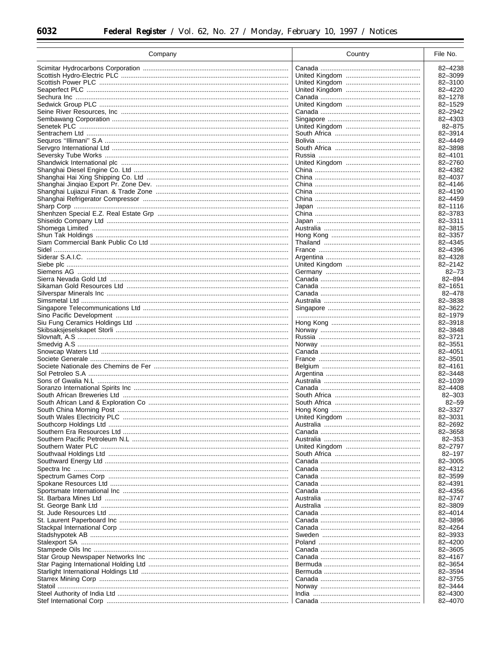| Company | Country | File No.           |
|---------|---------|--------------------|
|         |         | 82-4238            |
|         |         | 82-3099            |
|         |         | 82-3100            |
|         |         | 82-4220            |
|         |         | 82-1278            |
|         |         | 82-1529            |
|         |         | 82-2942            |
|         |         | 82-4303            |
|         |         | 82-875             |
|         |         | 82-3914            |
|         |         | 82-4449            |
|         |         | 82-3898            |
|         |         | 82-4101            |
|         |         | 82-2760            |
|         |         | 82-4382            |
|         |         | 82-4037            |
|         |         | 82-4146            |
|         |         | 82-4190            |
|         |         | 82-4459            |
|         |         | 82-1116            |
|         |         | 82-3783            |
|         |         | 82-3311            |
|         |         | 82-3815            |
|         |         | 82-3357            |
|         |         | 82-4345            |
|         |         | 82-4396            |
|         |         | 82-4328            |
|         |         | 82-2142            |
|         |         | $82 - 73$          |
|         |         | 82-894             |
|         |         | 82-1651            |
|         |         | $82 - 478$         |
|         |         | 82-3838            |
|         |         | 82-3622            |
|         |         | 82-1979            |
|         |         | 82-3918            |
|         |         | 82-3848            |
|         |         | 82-3721<br>82-3551 |
|         |         | 82-4051            |
|         |         | 82-3501            |
|         |         | 82-4161            |
|         |         | 82-3448            |
|         |         | 82-1039            |
|         |         | 82-4408            |
|         |         | 82-303             |
|         |         | $82 - 59$          |
|         |         | 82-3327            |
|         |         | 82-3031            |
|         |         | 82-2692            |
|         |         | 82-3658            |
|         |         | 82-353             |
|         |         | 82-2797            |
|         |         | 82-197             |
|         |         | 82-3005            |
|         |         | 82-4312            |
|         |         | 82-3599            |
|         |         | 82-4391            |
|         |         | 82-4356            |
|         |         | 82-3747            |
|         |         | 82-3809            |
|         |         | 82-4014            |
|         |         | 82-3896            |
|         |         | 82-4264            |
|         |         | 82-3933            |
|         |         | 82-4200            |
|         |         | 82-3605            |
|         |         | 82-4167            |
|         |         | 82-3654            |
|         |         | 82-3594            |
|         |         | 82-3755            |
|         |         | 82-3444            |
|         |         | 82-4300            |
|         |         | 82-4070            |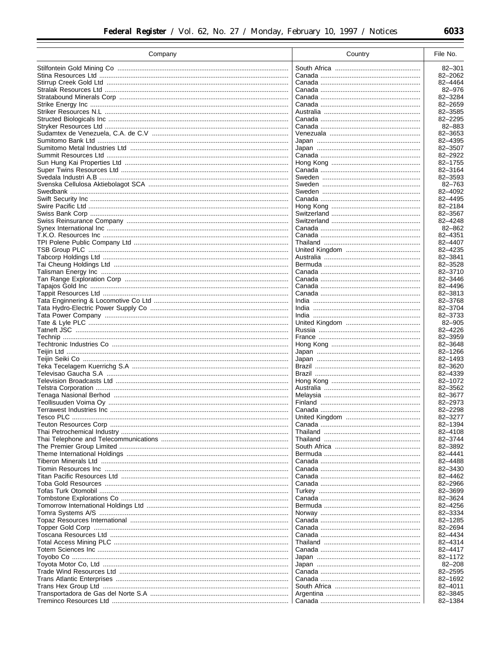| Company | Country | File No.              |
|---------|---------|-----------------------|
|         |         | 82-301                |
|         |         | 82-2062               |
|         |         | 82-4464               |
|         |         | 82-976                |
|         |         | 82-3284               |
|         |         | 82-2659               |
|         |         | 82-3585               |
|         |         | 82-2295               |
|         |         | 82-883                |
|         |         | 82-3653<br>82-4395    |
|         |         | 82-3507               |
|         |         | 82-2922               |
|         |         | 82-1755               |
|         |         | 82-3164               |
|         |         | 82-3593               |
|         |         | 82-763                |
|         |         | 82-4092               |
|         |         | 82-4495               |
|         |         | 82-2184               |
|         |         | 82-3567               |
|         |         | 82-4248<br>$82 - 862$ |
|         |         | 82-4351               |
|         |         | 82-4407               |
|         |         | 82-4235               |
|         |         | 82-3841               |
|         |         | 82-3528               |
|         |         | 82-3710               |
|         |         | 82-3446               |
|         |         | 82-4496               |
|         |         | 82-3813               |
|         |         | 82-3768               |
|         |         | 82-3704<br>82-3733    |
|         |         | 82-905                |
|         |         | 82-4226               |
|         |         | 82-3959               |
|         |         | 82-3648               |
|         |         | 82-1266               |
|         |         | 82-1493               |
|         |         | 82-3620               |
|         |         | 82-4339               |
|         |         | 82-1072               |
|         |         | 82-3562               |
|         |         | 82-3677<br>82-2973    |
|         |         | 82-2298               |
|         |         | 82-3277               |
|         |         | 82-1394               |
|         |         | 82-4108               |
|         |         | 82-3744               |
|         |         | 82-3892               |
|         |         | 82-4441               |
|         |         | 82-4488               |
|         |         | 82-3430               |
|         |         | 82-4462               |
|         |         | 82-2966<br>82-3699    |
|         |         | 82-3624               |
|         |         | 82-4256               |
|         |         | 82-3334               |
|         |         | 82-1285               |
|         |         | 82-2694               |
|         |         | 82-4434               |
|         |         | 82-4314               |
|         |         | 82-4417               |
|         |         | 82-1172               |
|         |         | $82 - 208$            |
|         |         | 82-2595               |
|         |         | 82-1692               |
|         |         | 82-4011<br>82-3845    |
|         |         | 82-1384               |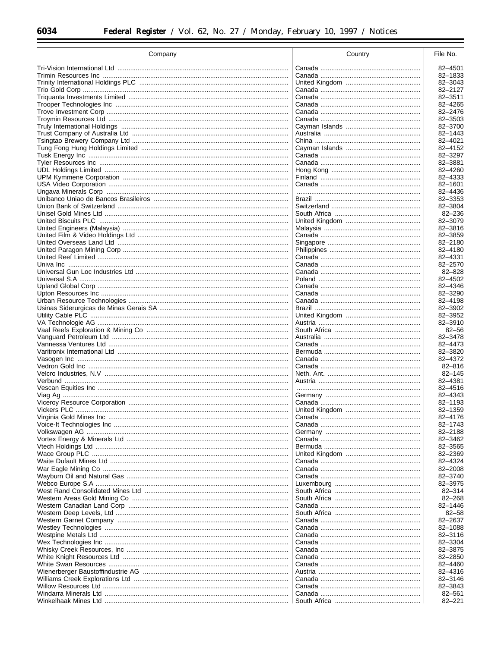| Company | Country | File No.              |
|---------|---------|-----------------------|
|         |         | 82-4501               |
|         |         | 82-1833               |
|         |         | 82-3043               |
|         |         | 82-2127               |
|         |         | 82-3511               |
|         |         | 82-4265               |
|         |         | 82-2476               |
|         |         | 82-3503               |
|         |         | 82-3700<br>82-1443    |
|         |         | 82-4021               |
|         |         | 82-4152               |
|         |         | 82-3297               |
|         |         | 82-3881               |
|         |         | 82-4260               |
|         |         | 82-4333               |
|         |         | 82-1601               |
|         |         | 82-4436<br>82-3353    |
|         |         | 82-3804               |
|         |         | $82 - 236$            |
|         |         | 82-3079               |
|         |         | 82-3816               |
|         |         | 82-3859               |
|         |         | 82-2180               |
|         |         | 82-4180               |
|         |         | 82-4331               |
|         |         | 82-2570<br>$82 - 828$ |
|         |         | 82-4502               |
|         |         | 82-4346               |
|         |         | 82-3290               |
|         |         | 82-4198               |
|         |         | 82-3902               |
|         |         | 82-3952               |
|         |         | 82-3910<br>$82 - 56$  |
|         |         | 82-3478               |
|         |         | 82-4473               |
|         |         | 82-3820               |
|         |         | 82-4372               |
|         |         | $82 - 816$            |
|         |         | $82 - 145$<br>82-4381 |
|         |         | 82-4516               |
|         |         | 82-4343               |
|         |         | 82-1193               |
|         |         | 82-1359               |
|         |         | 82-4176               |
|         |         | 82-1743               |
|         |         | 82-2188               |
|         |         | 82-3462<br>82-3565    |
|         |         | 82-2369               |
|         |         | 82-4324               |
|         |         | 82-2008               |
|         |         | 82-3740               |
|         |         | 82-3975               |
|         |         | $82 - 314$            |
|         |         | $82 - 268$            |
|         |         | 82-1446               |
|         |         | $82 - 58$<br>82-2637  |
|         |         | 82-1088               |
|         |         | 82-3116               |
|         |         | 82-3304               |
|         |         | 82-3875               |
|         |         | 82-2850               |
|         |         | 82-4460               |
|         |         | 82-4316               |
|         |         | 82-3146<br>82-3843    |
|         |         | 82-561                |
|         |         | $82 - 221$            |